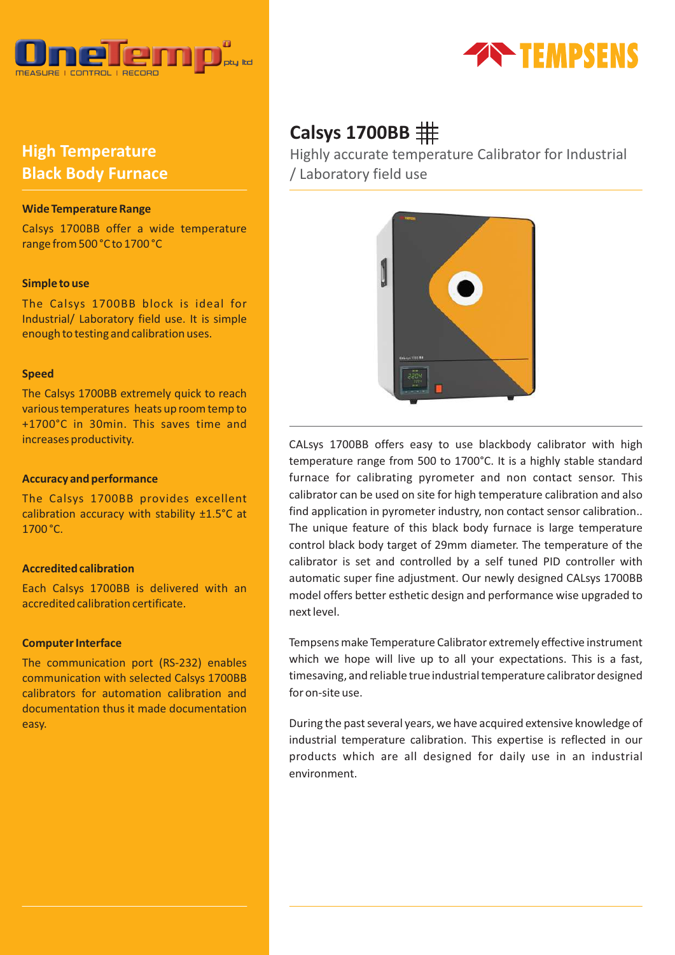

# **High Temperature Black Body Furnace**

## **Wide Temperature Range**

Calsys 1700BB offer a wide temperature range from 500 °C to 1700 °C

### **Simple to use**

The Calsys 1700BB block is ideal for Industrial/ Laboratory field use. It is simple enough to testing and calibration uses.

### **Speed**

The Calsys 1700BB extremely quick to reach various temperatures heats up room temp to +1700°C in 30min. This saves time and increases productivity.

## **Accuracy and performance**

The Calsys 1700BB provides excellent calibration accuracy with stability ±1.5°C at 1700 °C.

## **Accredited calibration**

Each Calsys 1700BB is delivered with an accredited calibration certificate.

### **Computer Interface**

The communication port (RS-232) enables communication with selected Calsys 1700BB calibrators for automation calibration and documentation thus it made documentation easy.



# **Calsys 1700BB**

Highly accurate temperature Calibrator for Industrial / Laboratory field use



CALsys 1700BB offers easy to use blackbody calibrator with high temperature range from 500 to 1700°C. It is a highly stable standard furnace for calibrating pyrometer and non contact sensor. This calibrator can be used on site for high temperature calibration and also find application in pyrometer industry, non contact sensor calibration.. The unique feature of this black body furnace is large temperature control black body target of 29mm diameter. The temperature of the calibrator is set and controlled by a self tuned PID controller with automatic super fine adjustment. Our newly designed CALsys 1700BB model offers better esthetic design and performance wise upgraded to next level.

Tempsens make Temperature Calibrator extremely effective instrument which we hope will live up to all your expectations. This is a fast, timesaving, and reliable true industrial temperature calibrator designed for on-site use.

During the past several years, we have acquired extensive knowledge of industrial temperature calibration. This expertise is reflected in our products which are all designed for daily use in an industrial environment.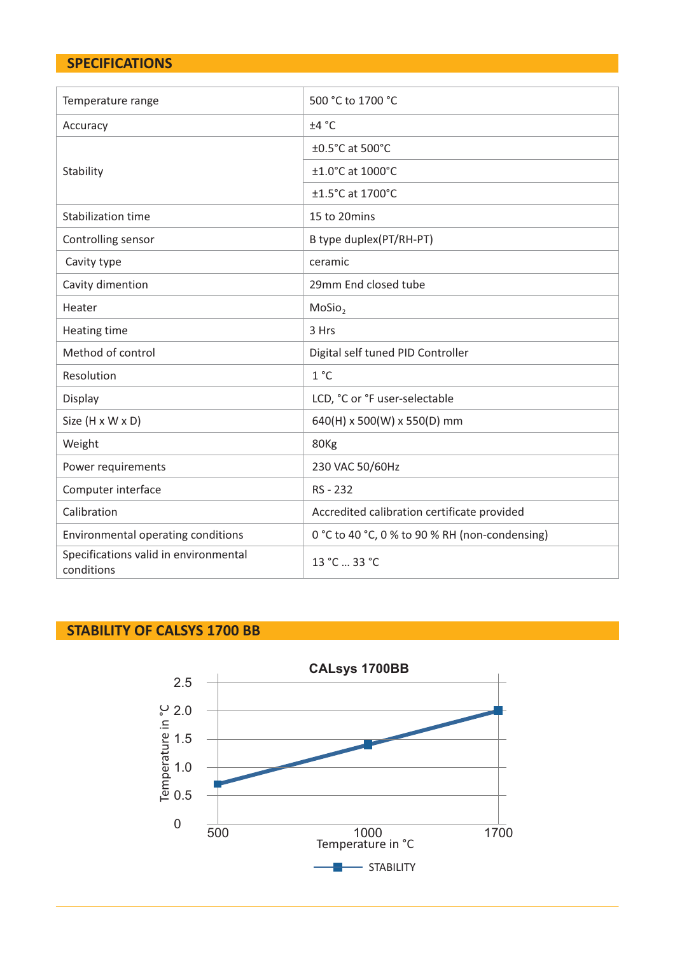# **SPECIFICATIONS**

| Temperature range                                   | 500 °C to 1700 °C                              |
|-----------------------------------------------------|------------------------------------------------|
| Accuracy                                            | ±4 °C                                          |
|                                                     | ±0.5°C at 500°C                                |
| Stability                                           | ±1.0°C at 1000°C                               |
|                                                     | ±1.5°C at 1700°C                               |
| Stabilization time                                  | 15 to 20mins                                   |
| Controlling sensor                                  | B type duplex(PT/RH-PT)                        |
| Cavity type                                         | ceramic                                        |
| Cavity dimention                                    | 29mm End closed tube                           |
| Heater                                              | MoSio <sub>2</sub>                             |
| Heating time                                        | 3 Hrs                                          |
| Method of control                                   | Digital self tuned PID Controller              |
| Resolution                                          | 1 °C                                           |
| Display                                             | LCD, °C or °F user-selectable                  |
| Size (H x W x D)                                    | 640(H) x 500(W) x 550(D) mm                    |
| Weight                                              | 80Kg                                           |
| Power requirements                                  | 230 VAC 50/60Hz                                |
| Computer interface                                  | RS - 232                                       |
| Calibration                                         | Accredited calibration certificate provided    |
| Environmental operating conditions                  | 0 °C to 40 °C, 0 % to 90 % RH (non-condensing) |
| Specifications valid in environmental<br>conditions | 13 °C  33 °C                                   |

# **STABILITY OF CALSYS 1700 BB**